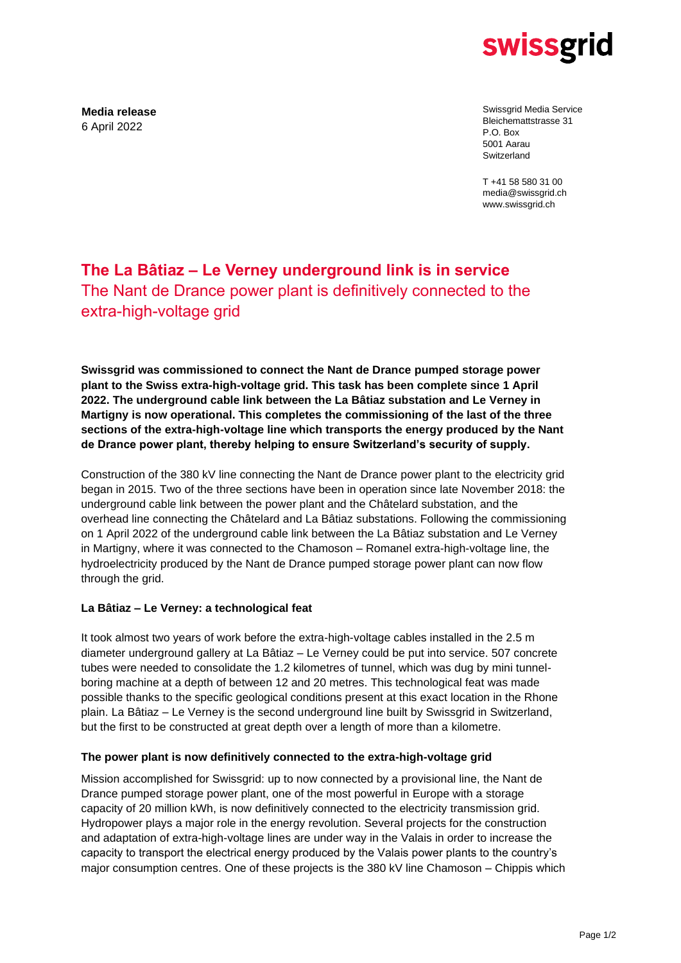

**Media release** 6 April 2022

Swissgrid Media Service Bleichemattstrasse 31 P.O. Box 5001 Aarau **Switzerland** 

T +41 58 580 31 00 media@swissgrid.ch www.swissgrid.ch

## **The La Bâtiaz – Le Verney underground link is in service** The Nant de Drance power plant is definitively connected to the extra-high-voltage grid

**Swissgrid was commissioned to connect the Nant de Drance pumped storage power plant to the Swiss extra-high-voltage grid. This task has been complete since 1 April 2022. The underground cable link between the La Bâtiaz substation and Le Verney in Martigny is now operational. This completes the commissioning of the last of the three sections of the extra-high-voltage line which transports the energy produced by the Nant de Drance power plant, thereby helping to ensure Switzerland's security of supply.** 

Construction of the 380 kV line connecting the Nant de Drance power plant to the electricity grid began in 2015. Two of the three sections have been in operation since late November 2018: the underground cable link between the power plant and the Châtelard substation, and the overhead line connecting the Châtelard and La Bâtiaz substations. Following the commissioning on 1 April 2022 of the underground cable link between the La Bâtiaz substation and Le Verney in Martigny, where it was connected to the Chamoson – Romanel extra-high-voltage line, the hydroelectricity produced by the Nant de Drance pumped storage power plant can now flow through the grid.

### **La Bâtiaz – Le Verney: a technological feat**

It took almost two years of work before the extra-high-voltage cables installed in the 2.5 m diameter underground gallery at La Bâtiaz – Le Verney could be put into service. 507 concrete tubes were needed to consolidate the 1.2 kilometres of tunnel, which was dug by mini tunnelboring machine at a depth of between 12 and 20 metres. This technological feat was made possible thanks to the specific geological conditions present at this exact location in the Rhone plain. La Bâtiaz – Le Verney is the second underground line built by Swissgrid in Switzerland, but the first to be constructed at great depth over a length of more than a kilometre.

### **The power plant is now definitively connected to the extra-high-voltage grid**

Mission accomplished for Swissgrid: up to now connected by a provisional line, the Nant de Drance pumped storage power plant, one of the most powerful in Europe with a storage capacity of 20 million kWh, is now definitively connected to the electricity transmission grid. Hydropower plays a major role in the energy revolution. Several projects for the construction and adaptation of extra-high-voltage lines are under way in the Valais in order to increase the capacity to transport the electrical energy produced by the Valais power plants to the country's major consumption centres. One of these projects is the 380 kV line Chamoson – Chippis which